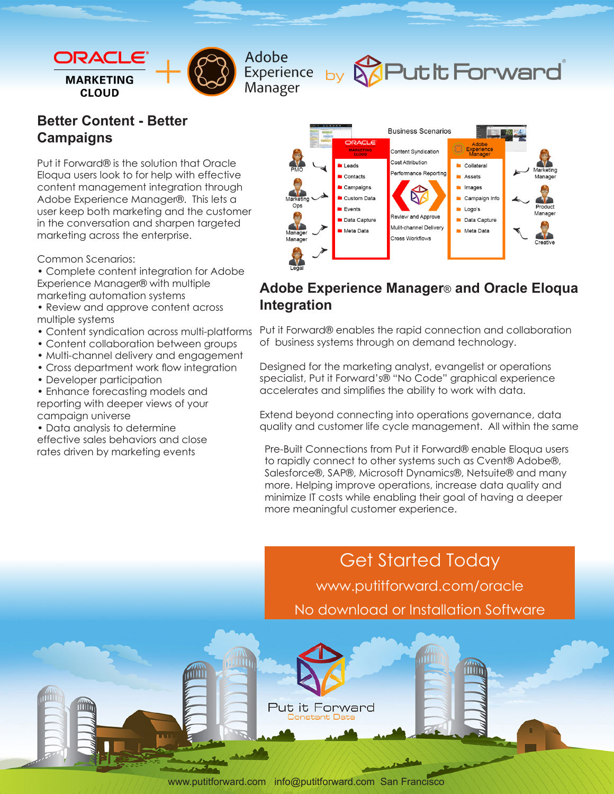

Adobe

Manager

### **Better Content - Better Campaigns**

Put it Forward® is the solution that Oracle Eloqua users look to for help with effective content management integration through Adobe Experience Manager®. This lets a user keep both marketing and the customer in the conversation and sharpen targeted marketing across the enterprise.

Common Scenarios:

- Complete content integration for Adobe Experience Manager® with multiple marketing automation systems
- Review and approve content across multiple systems
- Content syndication across multi-platforms
- Content collaboration between groups
- Multi-channel delivery and engagement
- Cross department work flow integration
- Developer participation

• Enhance forecasting models and reporting with deeper views of your campaign universe

• Data analysis to determine

effective sales behaviors and close rates driven by marketing events



Experience by **&Put it Forward** 

## **Adobe Experience Manager**® **and Oracle Eloqua Integration**

Put it Forward® enables the rapid connection and collaboration of business systems through on demand technology.

Designed for the marketing analyst, evangelist or operations specialist, Put it Forward's® "No Code" graphical experience accelerates and simplifies the ability to work with data.

Extend beyond connecting into operations governance, data quality and customer life cycle management. All within the same

Pre-Built Connections from Put it Forward® enable Eloqua users to rapidly connect to other systems such as Cvent® Adobe®, Salesforce®, SAP®, Microsoft Dynamics®, Netsuite® and many more. Helping improve operations, increase data quality and minimize IT costs while enabling their goal of having a deeper more meaningful customer experience.

Get Started Today www.putitforward.com/oracle No download or Installation Software

www.putitforward.com / info@putitforward.com San Francisco

Put it Forward